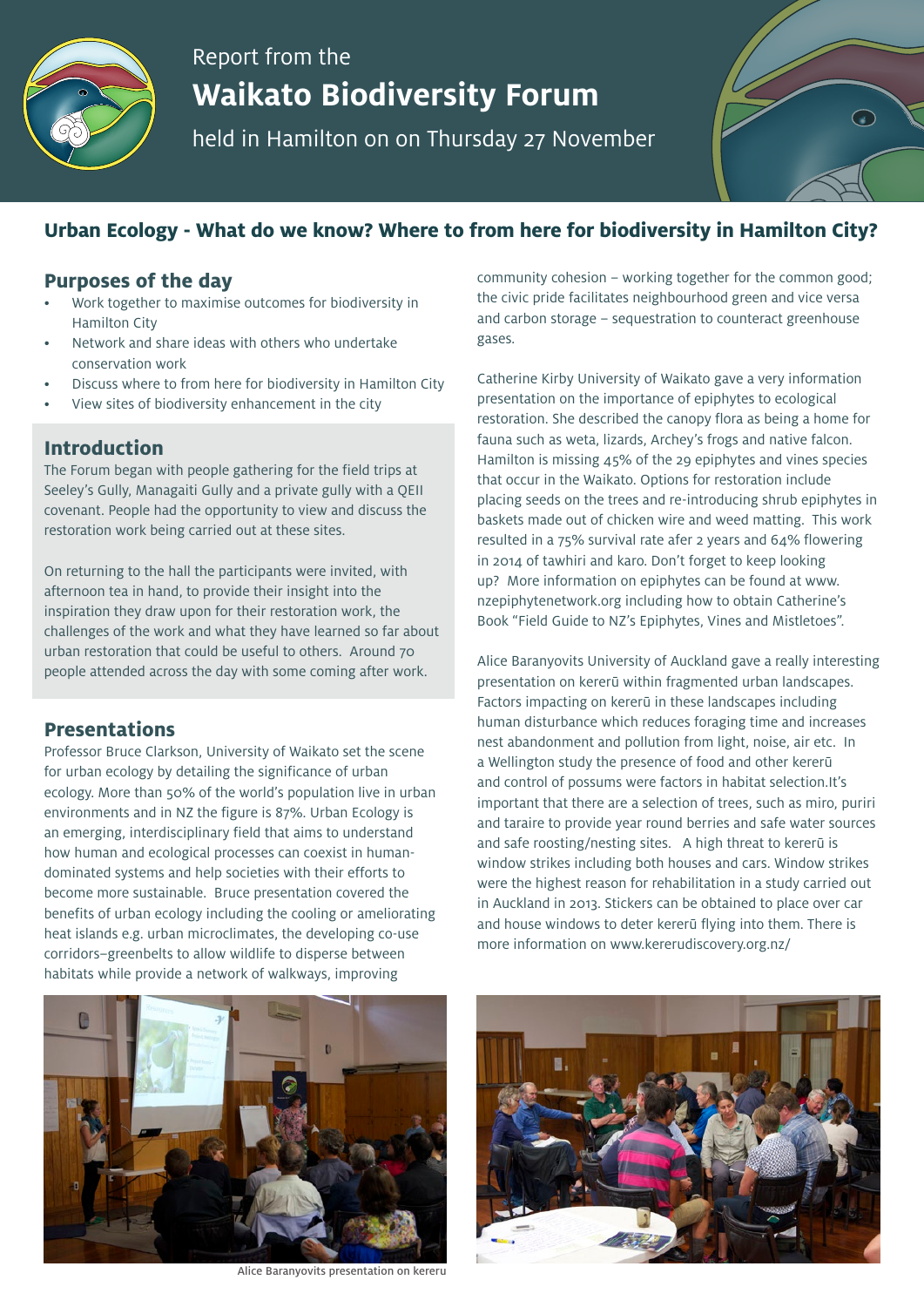

# Report from the **Waikato Biodiversity Forum**

held in Hamilton on on Thursday 27 November

## **Urban Ecology - What do we know? Where to from here for biodiversity in Hamilton City?**

#### **Purposes of the day**

- Work together to maximise outcomes for biodiversity in Hamilton City
- Network and share ideas with others who undertake conservation work
- Discuss where to from here for biodiversity in Hamilton City
- View sites of biodiversity enhancement in the city

#### **Introduction**

The Forum began with people gathering for the field trips at Seeley's Gully, Managaiti Gully and a private gully with a QEII covenant. People had the opportunity to view and discuss the restoration work being carried out at these sites.

On returning to the hall the participants were invited, with afternoon tea in hand, to provide their insight into the inspiration they draw upon for their restoration work, the challenges of the work and what they have learned so far about urban restoration that could be useful to others. Around 70 people attended across the day with some coming after work.

#### **Presentations**

Professor Bruce Clarkson, University of Waikato set the scene for urban ecology by detailing the significance of urban ecology. More than 50% of the world's population live in urban environments and in NZ the figure is 87%. Urban Ecology is an emerging, interdisciplinary field that aims to understand how human and ecological processes can coexist in humandominated systems and help societies with their efforts to become more sustainable. Bruce presentation covered the benefits of urban ecology including the cooling or ameliorating heat islands e.g. urban microclimates, the developing co-use corridors–greenbelts to allow wildlife to disperse between habitats while provide a network of walkways, improving

community cohesion – working together for the common good; the civic pride facilitates neighbourhood green and vice versa and carbon storage – sequestration to counteract greenhouse gases.

Catherine Kirby University of Waikato gave a very information presentation on the importance of epiphytes to ecological restoration. She described the canopy flora as being a home for fauna such as weta, lizards, Archey's frogs and native falcon. Hamilton is missing 45% of the 29 epiphytes and vines species that occur in the Waikato. Options for restoration include placing seeds on the trees and re-introducing shrub epiphytes in baskets made out of chicken wire and weed matting. This work resulted in a 75% survival rate afer 2 years and 64% flowering in 2014 of tawhiri and karo. Don't forget to keep looking up? More information on epiphytes can be found at www. nzepiphytenetwork.org including how to obtain Catherine's Book "Field Guide to NZ's Epiphytes, Vines and Mistletoes".

Alice Baranyovits University of Auckland gave a really interesting presentation on kererū within fragmented urban landscapes. Factors impacting on kererū in these landscapes including human disturbance which reduces foraging time and increases nest abandonment and pollution from light, noise, air etc. In a Wellington study the presence of food and other kererū and control of possums were factors in habitat selection.It's important that there are a selection of trees, such as miro, puriri and taraire to provide year round berries and safe water sources and safe roosting/nesting sites. A high threat to kererū is window strikes including both houses and cars. Window strikes were the highest reason for rehabilitation in a study carried out in Auckland in 2013. Stickers can be obtained to place over car and house windows to deter kererū flying into them. There is more information on www.kererudiscovery.org.nz/



Alice Baranyovits presentation on kereru

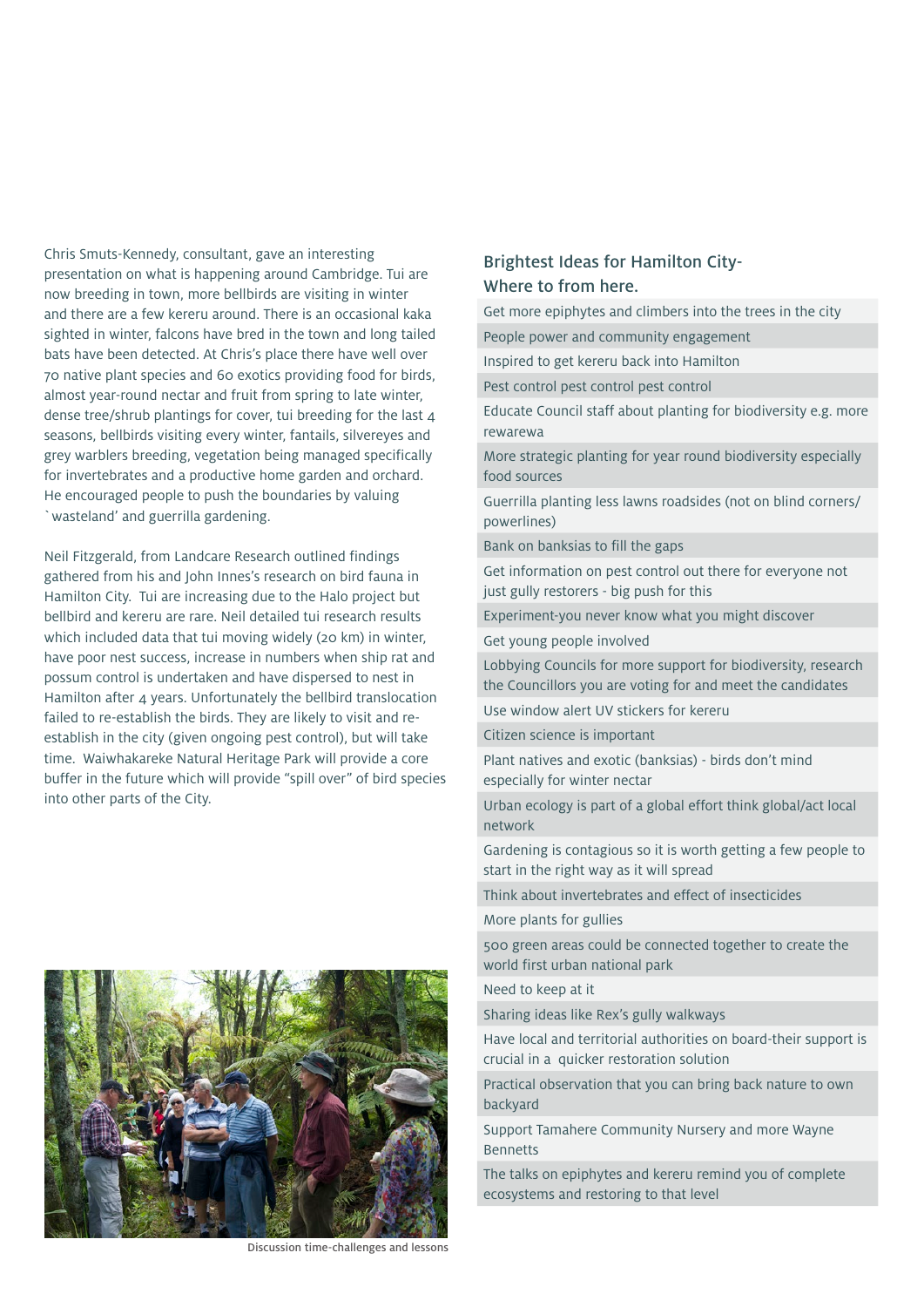Chris Smuts-Kennedy, consultant, gave an interesting presentation on what is happening around Cambridge. Tui are now breeding in town, more bellbirds are visiting in winter and there are a few kereru around. There is an occasional kaka sighted in winter, falcons have bred in the town and long tailed bats have been detected. At Chris's place there have well over 70 native plant species and 60 exotics providing food for birds, almost year-round nectar and fruit from spring to late winter, dense tree/shrub plantings for cover, tui breeding for the last 4 seasons, bellbirds visiting every winter, fantails, silvereyes and grey warblers breeding, vegetation being managed specifically for invertebrates and a productive home garden and orchard. He encouraged people to push the boundaries by valuing `wasteland' and guerrilla gardening.

Neil Fitzgerald, from Landcare Research outlined findings gathered from his and John Innes's research on bird fauna in Hamilton City. Tui are increasing due to the Halo project but bellbird and kereru are rare. Neil detailed tui research results which included data that tui moving widely (20 km) in winter, have poor nest success, increase in numbers when ship rat and possum control is undertaken and have dispersed to nest in Hamilton after 4 years. Unfortunately the bellbird translocation failed to re-establish the birds. They are likely to visit and reestablish in the city (given ongoing pest control), but will take time. Waiwhakareke Natural Heritage Park will provide a core buffer in the future which will provide "spill over" of bird species into other parts of the City.



Discussion time-challenges and lessons

#### Brightest Ideas for Hamilton City-Where to from here.

Get more epiphytes and climbers into the trees in the city

People power and community engagement

Inspired to get kereru back into Hamilton

Pest control pest control pest control

Educate Council staff about planting for biodiversity e.g. more rewarewa

More strategic planting for year round biodiversity especially food sources

Guerrilla planting less lawns roadsides (not on blind corners/ powerlines)

Bank on banksias to fill the gaps

Get information on pest control out there for everyone not just gully restorers - big push for this

Experiment-you never know what you might discover

Get young people involved

Lobbying Councils for more support for biodiversity, research the Councillors you are voting for and meet the candidates

Use window alert UV stickers for kereru

Citizen science is important

Plant natives and exotic (banksias) - birds don't mind especially for winter nectar

Urban ecology is part of a global effort think global/act local network

Gardening is contagious so it is worth getting a few people to start in the right way as it will spread

Think about invertebrates and effect of insecticides

More plants for gullies

500 green areas could be connected together to create the world first urban national park

Need to keep at it

Sharing ideas like Rex's gully walkways

Have local and territorial authorities on board-their support is crucial in a quicker restoration solution

Practical observation that you can bring back nature to own backyard

Support Tamahere Community Nursery and more Wayne Bennetts

The talks on epiphytes and kereru remind you of complete ecosystems and restoring to that level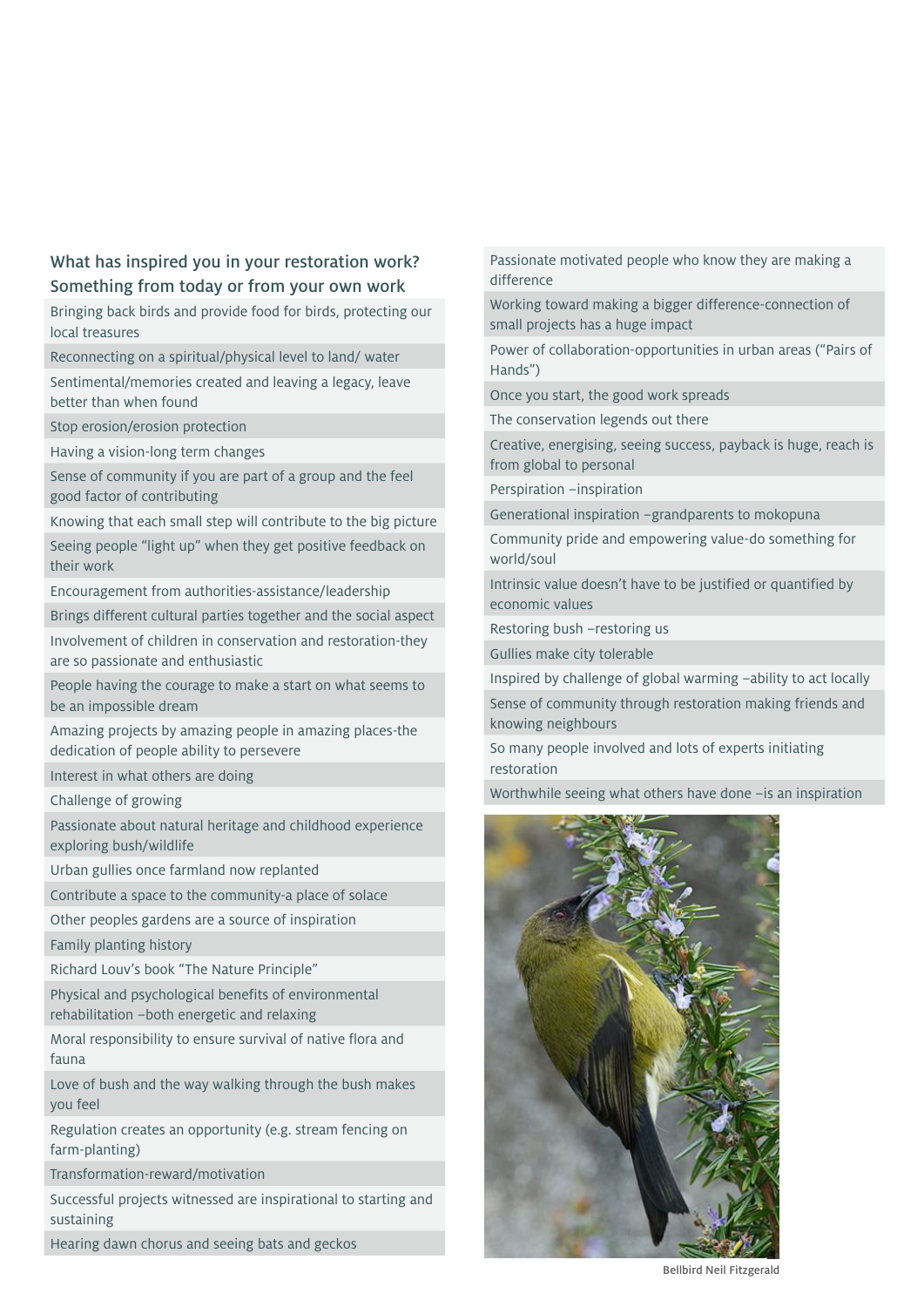#### What has inspired you in your restoration work? Something from today or from your own work

Bringing back birds and provide food for birds, protecting our local treasures

Reconnecting on a spiritual/physical level to land/ water

Sentimental/memories created and leaving a legacy, leave better than when found

Stop erosion/erosion protection

Having a vision-long term changes

Sense of community if you are part of a group and the feel good factor of contributing

Knowing that each small step will contribute to the big picture

Seeing people "light up" when they get positive feedback on their work

Encouragement from authorities-assistance/leadership

Brings different cultural parties together and the social aspect

Involvement of children in conservation and restoration-they are so passionate and enthusiastic

People having the courage to make a start on what seems to be an impossible dream

Amazing projects by amazing people in amazing places-the dedication of people ability to persevere

Interest in what others are doing

Challenge of growing

Passionate about natural heritage and childhood experience exploring bush/wildlife

Urban gullies once farmland now replanted

Contribute a space to the community-a place of solace

Other peoples gardens are a source of inspiration

Family planting history

Richard Louv's book "The Nature Principle"

Physical and psychological benefits of environmental rehabilitation –both energetic and relaxing

Moral responsibility to ensure survival of native flora and fauna

Love of bush and the way walking through the bush makes you feel

Regulation creates an opportunity (e.g. stream fencing on farm-planting)

Transformation-reward/motivation

Successful projects witnessed are inspirational to starting and sustaining

Hearing dawn chorus and seeing bats and geckos

Passionate motivated people who know they are making a difference

Working toward making a bigger difference-connection of small projects has a huge impact

Power of collaboration-opportunities in urban areas ("Pairs of Hands")

Once you start, the good work spreads

The conservation legends out there

Creative, energising, seeing success, payback is huge, reach is from global to personal

Perspiration –inspiration

Generational inspiration –grandparents to mokopuna

Community pride and empowering value-do something for world/soul

Intrinsic value doesn't have to be justified or quantified by economic values

Restoring bush –restoring us

Gullies make city tolerable

Inspired by challenge of global warming –ability to act locally Sense of community through restoration making friends and knowing neighbours

So many people involved and lots of experts initiating restoration

Worthwhile seeing what others have done – is an inspiration



Bellbird Neil Fitzgerald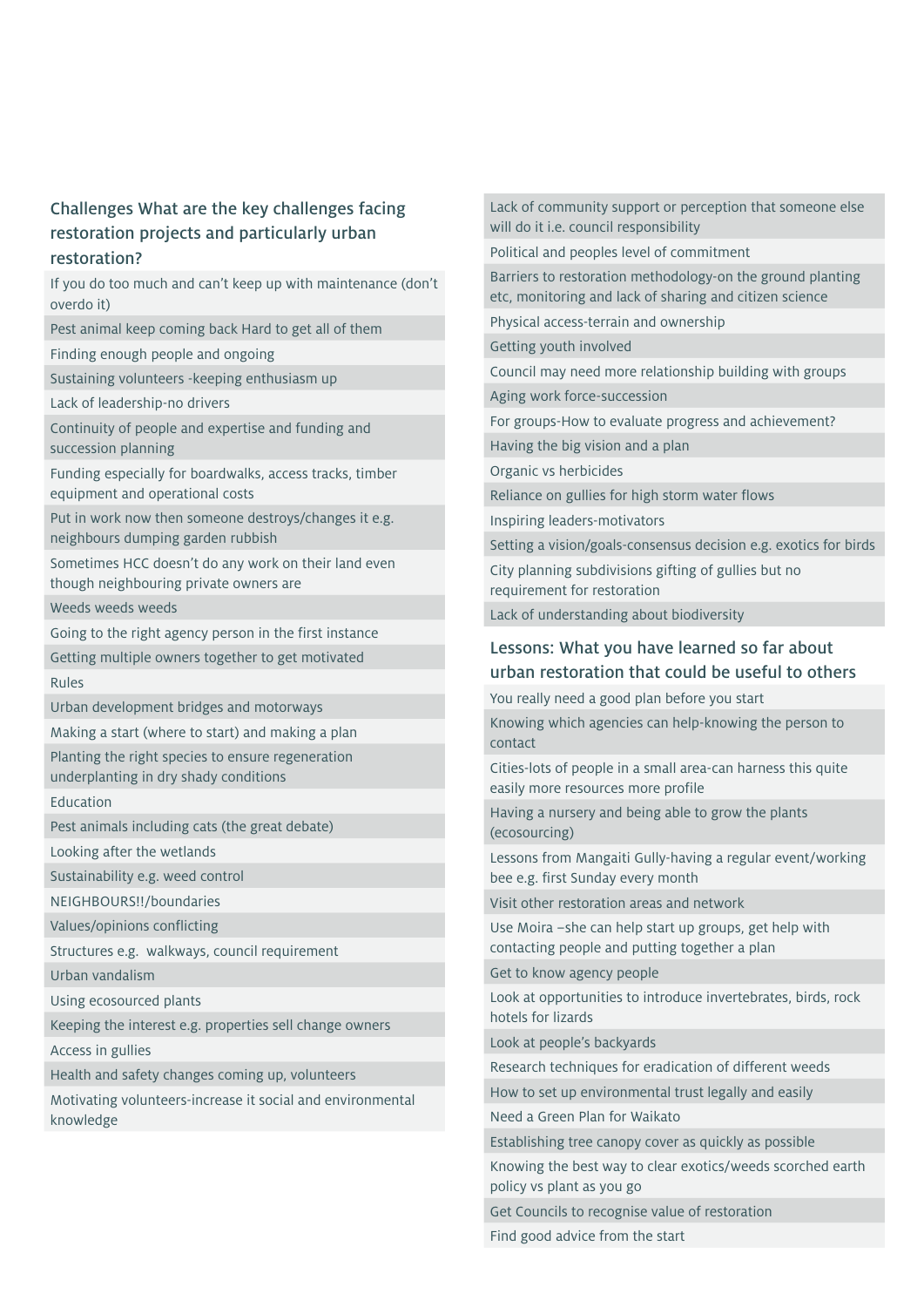### Challenges What are the key challenges facing restoration projects and particularly urban restoration?

If you do too much and can't keep up with maintenance (don't overdo it)

Pest animal keep coming back Hard to get all of them

Finding enough people and ongoing

Sustaining volunteers -keeping enthusiasm up

Lack of leadership-no drivers

Continuity of people and expertise and funding and succession planning

Funding especially for boardwalks, access tracks, timber equipment and operational costs

Put in work now then someone destroys/changes it e.g. neighbours dumping garden rubbish

Sometimes HCC doesn't do any work on their land even though neighbouring private owners are

Weeds weeds weeds

Going to the right agency person in the first instance

Getting multiple owners together to get motivated

Rules

Urban development bridges and motorways

Making a start (where to start) and making a plan Planting the right species to ensure regeneration

underplanting in dry shady conditions

Education

Pest animals including cats (the great debate)

Looking after the wetlands

Sustainability e.g. weed control

NEIGHBOURS!!/boundaries

Values/opinions conflicting

Structures e.g. walkways, council requirement

Urban vandalism

Using ecosourced plants

Keeping the interest e.g. properties sell change owners

Access in gullies

Health and safety changes coming up, volunteers

Motivating volunteers-increase it social and environmental knowledge

Lack of community support or perception that someone else will do it i.e. council responsibility

Political and peoples level of commitment

Barriers to restoration methodology-on the ground planting etc, monitoring and lack of sharing and citizen science

Physical access-terrain and ownership

Getting youth involved

Council may need more relationship building with groups

Aging work force-succession

For groups-How to evaluate progress and achievement?

Having the big vision and a plan

Organic vs herbicides

Reliance on gullies for high storm water flows

Inspiring leaders-motivators

Setting a vision/goals-consensus decision e.g. exotics for birds

City planning subdivisions gifting of gullies but no requirement for restoration

Lack of understanding about biodiversity

#### Lessons: What you have learned so far about urban restoration that could be useful to others

You really need a good plan before you start

Knowing which agencies can help-knowing the person to contact

Cities-lots of people in a small area-can harness this quite easily more resources more profile

Having a nursery and being able to grow the plants (ecosourcing)

Lessons from Mangaiti Gully-having a regular event/working bee e.g. first Sunday every month

Visit other restoration areas and network

Use Moira –she can help start up groups, get help with contacting people and putting together a plan

Get to know agency people

Look at opportunities to introduce invertebrates, birds, rock hotels for lizards

Look at people's backyards

Research techniques for eradication of different weeds

How to set up environmental trust legally and easily

Need a Green Plan for Waikato

Establishing tree canopy cover as quickly as possible

Knowing the best way to clear exotics/weeds scorched earth policy vs plant as you go

Get Councils to recognise value of restoration

Find good advice from the start